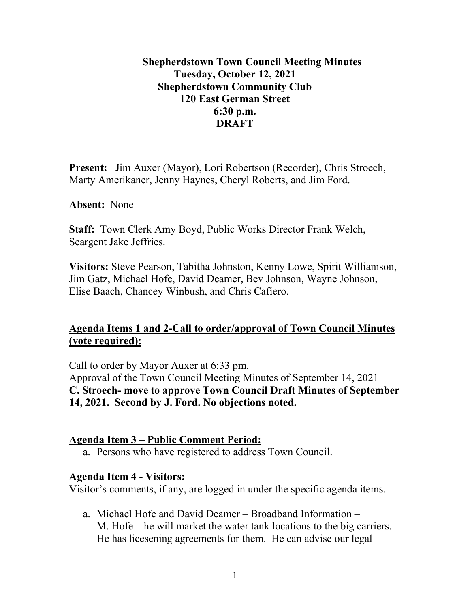### **Shepherdstown Town Council Meeting Minutes Tuesday, October 12, 2021 Shepherdstown Community Club 120 East German Street 6:30 p.m. DRAFT**

**Present:** Jim Auxer (Mayor), Lori Robertson (Recorder), Chris Stroech, Marty Amerikaner, Jenny Haynes, Cheryl Roberts, and Jim Ford.

**Absent:** None

**Staff:** Town Clerk Amy Boyd, Public Works Director Frank Welch, Seargent Jake Jeffries.

**Visitors:** Steve Pearson, Tabitha Johnston, Kenny Lowe, Spirit Williamson, Jim Gatz, Michael Hofe, David Deamer, Bev Johnson, Wayne Johnson, Elise Baach, Chancey Winbush, and Chris Cafiero.

### **Agenda Items 1 and 2-Call to order/approval of Town Council Minutes (vote required):**

Call to order by Mayor Auxer at 6:33 pm. Approval of the Town Council Meeting Minutes of September 14, 2021 **C. Stroech- move to approve Town Council Draft Minutes of September 14, 2021. Second by J. Ford. No objections noted.**

#### **Agenda Item 3 – Public Comment Period:**

a. Persons who have registered to address Town Council.

#### **Agenda Item 4 - Visitors:**

Visitor's comments, if any, are logged in under the specific agenda items.

a. Michael Hofe and David Deamer – Broadband Information – M. Hofe – he will market the water tank locations to the big carriers. He has licesening agreements for them. He can advise our legal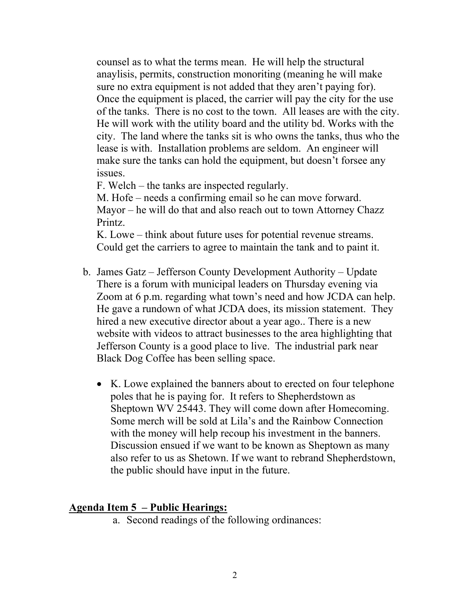counsel as to what the terms mean. He will help the structural anaylisis, permits, construction monoriting (meaning he will make sure no extra equipment is not added that they aren't paying for). Once the equipment is placed, the carrier will pay the city for the use of the tanks. There is no cost to the town. All leases are with the city. He will work with the utility board and the utility bd. Works with the city. The land where the tanks sit is who owns the tanks, thus who the lease is with. Installation problems are seldom. An engineer will make sure the tanks can hold the equipment, but doesn't forsee any issues.

F. Welch – the tanks are inspected regularly.

M. Hofe – needs a confirming email so he can move forward. Mayor – he will do that and also reach out to town Attorney Chazz Printz.

K. Lowe – think about future uses for potential revenue streams. Could get the carriers to agree to maintain the tank and to paint it.

- b. James Gatz Jefferson County Development Authority Update There is a forum with municipal leaders on Thursday evening via Zoom at 6 p.m. regarding what town's need and how JCDA can help. He gave a rundown of what JCDA does, its mission statement. They hired a new executive director about a year ago.. There is a new website with videos to attract businesses to the area highlighting that Jefferson County is a good place to live. The industrial park near Black Dog Coffee has been selling space.
	- K. Lowe explained the banners about to erected on four telephone poles that he is paying for. It refers to Shepherdstown as Sheptown WV 25443. They will come down after Homecoming. Some merch will be sold at Lila's and the Rainbow Connection with the money will help recoup his investment in the banners. Discussion ensued if we want to be known as Sheptown as many also refer to us as Shetown. If we want to rebrand Shepherdstown, the public should have input in the future.

#### **Agenda Item 5 – Public Hearings:**

a. Second readings of the following ordinances: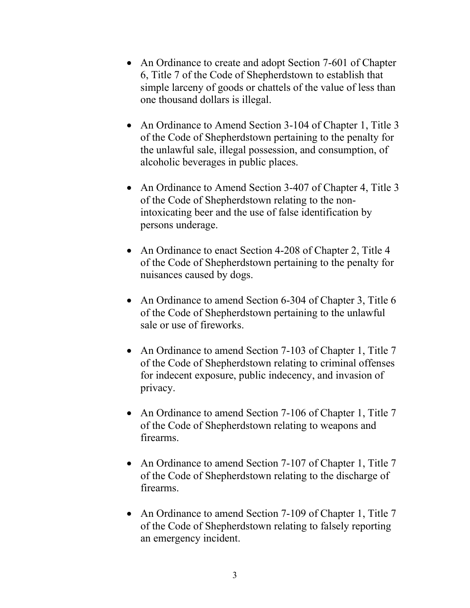- An Ordinance to create and adopt Section 7-601 of Chapter 6, Title 7 of the Code of Shepherdstown to establish that simple larceny of goods or chattels of the value of less than one thousand dollars is illegal.
- An Ordinance to Amend Section 3-104 of Chapter 1, Title 3 of the Code of Shepherdstown pertaining to the penalty for the unlawful sale, illegal possession, and consumption, of alcoholic beverages in public places.
- An Ordinance to Amend Section 3-407 of Chapter 4, Title 3 of the Code of Shepherdstown relating to the nonintoxicating beer and the use of false identification by persons underage.
- An Ordinance to enact Section 4-208 of Chapter 2, Title 4 of the Code of Shepherdstown pertaining to the penalty for nuisances caused by dogs.
- An Ordinance to amend Section 6-304 of Chapter 3, Title 6 of the Code of Shepherdstown pertaining to the unlawful sale or use of fireworks.
- An Ordinance to amend Section 7-103 of Chapter 1, Title 7 of the Code of Shepherdstown relating to criminal offenses for indecent exposure, public indecency, and invasion of privacy.
- An Ordinance to amend Section 7-106 of Chapter 1, Title 7 of the Code of Shepherdstown relating to weapons and firearms.
- An Ordinance to amend Section 7-107 of Chapter 1, Title 7 of the Code of Shepherdstown relating to the discharge of firearms.
- An Ordinance to amend Section 7-109 of Chapter 1, Title 7 of the Code of Shepherdstown relating to falsely reporting an emergency incident.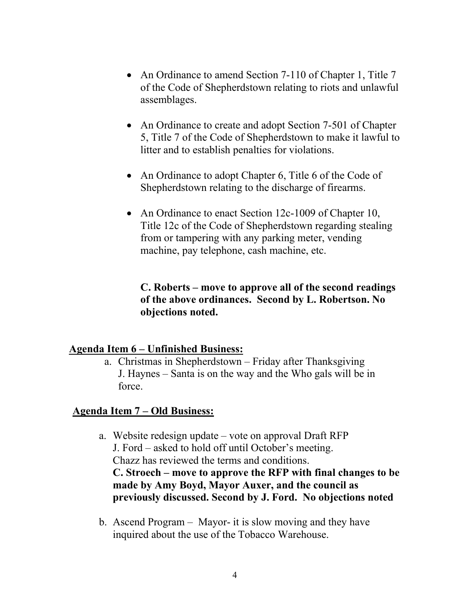- An Ordinance to amend Section 7-110 of Chapter 1, Title 7 of the Code of Shepherdstown relating to riots and unlawful assemblages.
- An Ordinance to create and adopt Section 7-501 of Chapter 5, Title 7 of the Code of Shepherdstown to make it lawful to litter and to establish penalties for violations.
- An Ordinance to adopt Chapter 6, Title 6 of the Code of Shepherdstown relating to the discharge of firearms.
- An Ordinance to enact Section 12c-1009 of Chapter 10, Title 12c of the Code of Shepherdstown regarding stealing from or tampering with any parking meter, vending machine, pay telephone, cash machine, etc.

**C. Roberts – move to approve all of the second readings of the above ordinances. Second by L. Robertson. No objections noted.**

#### **Agenda Item 6 – Unfinished Business:**

a. Christmas in Shepherdstown – Friday after Thanksgiving J. Haynes – Santa is on the way and the Who gals will be in force.

#### **Agenda Item 7 – Old Business:**

- a. Website redesign update vote on approval Draft RFP J. Ford – asked to hold off until October's meeting. Chazz has reviewed the terms and conditions. **C. Stroech – move to approve the RFP with final changes to be made by Amy Boyd, Mayor Auxer, and the council as previously discussed. Second by J. Ford. No objections noted**
- b. Ascend Program Mayor- it is slow moving and they have inquired about the use of the Tobacco Warehouse.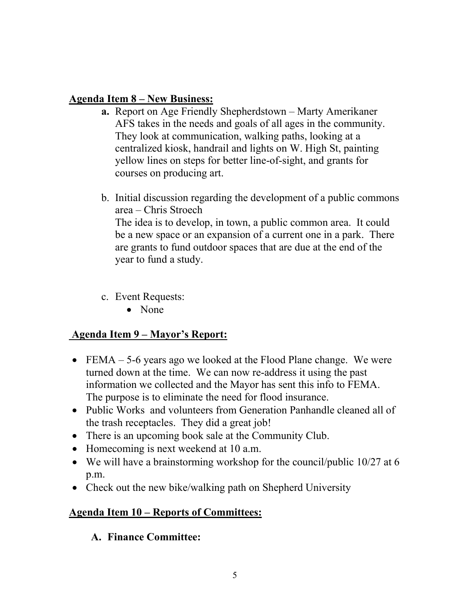### **Agenda Item 8 – New Business:**

- **a.** Report on Age Friendly Shepherdstown Marty Amerikaner AFS takes in the needs and goals of all ages in the community. They look at communication, walking paths, looking at a centralized kiosk, handrail and lights on W. High St, painting yellow lines on steps for better line-of-sight, and grants for courses on producing art.
- b. Initial discussion regarding the development of a public commons area – Chris Stroech The idea is to develop, in town, a public common area. It could be a new space or an expansion of a current one in a park. There are grants to fund outdoor spaces that are due at the end of the year to fund a study.
- c. Event Requests:
	- None

# **Agenda Item 9 – Mayor's Report:**

- FEMA 5-6 years ago we looked at the Flood Plane change. We were turned down at the time. We can now re-address it using the past information we collected and the Mayor has sent this info to FEMA. The purpose is to eliminate the need for flood insurance.
- Public Works and volunteers from Generation Panhandle cleaned all of the trash receptacles. They did a great job!
- There is an upcoming book sale at the Community Club.
- Homecoming is next weekend at 10 a.m.
- We will have a brainstorming workshop for the council/public 10/27 at 6 p.m.
- Check out the new bike/walking path on Shepherd University

# **Agenda Item 10 – Reports of Committees:**

# **A. Finance Committee:**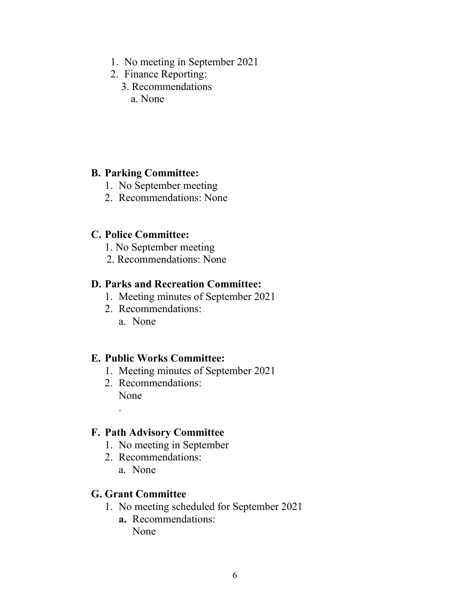- 1. No meeting in September 2021
- 2. Finance Reporting:
	- 3. Recommendations
		- a. None

#### **B. Parking Committee:**

- 1. No September meeting
- 2. Recommendations: None

### **C. Police Committee:**

- 1. No September meeting
- 2. Recommendations: None

### **D. Parks and Recreation Committee:**

- 1. Meeting minutes of September 2021
- 2. Recommendations: a. None

### **E. Public Works Committee:**

- 1. Meeting minutes of September 2021
- 2. Recommendations: None

### **F. Path Advisory Committee**

- 1. No meeting in September
- 2. Recommendations:
	- a. None

.

#### **G. Grant Committee**

- 1. No meeting scheduled for September 2021
	- **a.** Recommendations: None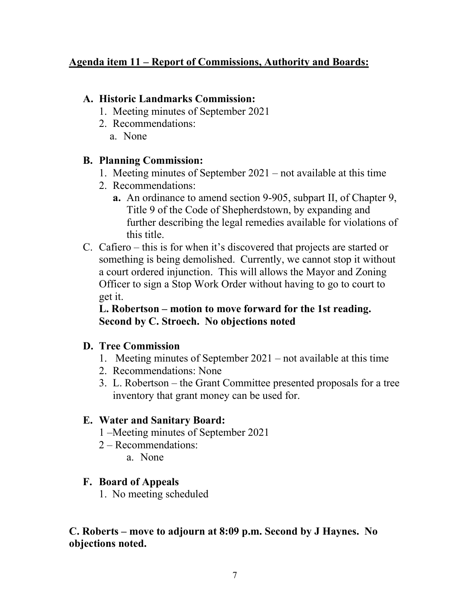### **Agenda item 11 – Report of Commissions, Authority and Boards:**

### **A. Historic Landmarks Commission:**

- 1. Meeting minutes of September 2021
- 2. Recommendations:
	- a. None

# **B. Planning Commission:**

- 1. Meeting minutes of September 2021 not available at this time
- 2. Recommendations:
	- **a.** An ordinance to amend section 9-905, subpart II, of Chapter 9, Title 9 of the Code of Shepherdstown, by expanding and further describing the legal remedies available for violations of this title.
- C. Cafiero this is for when it's discovered that projects are started or something is being demolished. Currently, we cannot stop it without a court ordered injunction. This will allows the Mayor and Zoning Officer to sign a Stop Work Order without having to go to court to get it.

### **L. Robertson – motion to move forward for the 1st reading. Second by C. Stroech. No objections noted**

# **D. Tree Commission**

- 1. Meeting minutes of September 2021 not available at this time
- 2. Recommendations: None
- 3. L. Robertson the Grant Committee presented proposals for a tree inventory that grant money can be used for.

# **E. Water and Sanitary Board:**

- 1 –Meeting minutes of September 2021
- 2 Recommendations:
	- a. None

# **F. Board of Appeals**

1. No meeting scheduled

# **C. Roberts – move to adjourn at 8:09 p.m. Second by J Haynes. No objections noted.**